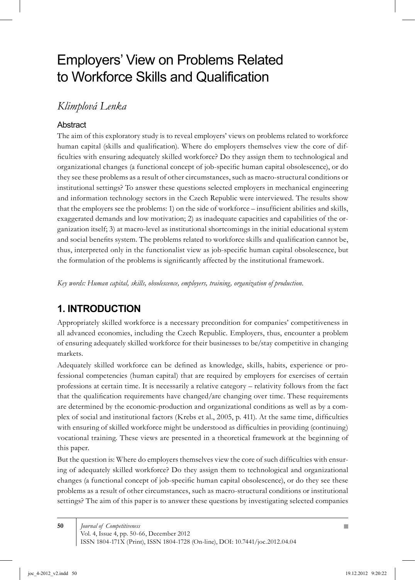# Employers' View on Problems Related to Workforce Skills and Qualification

### *Klimplová Lenka*

### Abstract

The aim of this exploratory study is to reveal employers' views on problems related to workforce human capital (skills and qualification). Where do employers themselves view the core of difficulties with ensuring adequately skilled workforce? Do they assign them to technological and organizational changes (a functional concept of job-specific human capital obsolescence), or do they see these problems as a result of other circumstances, such as macro-structural conditions or institutional settings? To answer these questions selected employers in mechanical engineering and information technology sectors in the Czech Republic were interviewed. The results show that the employers see the problems: 1) on the side of workforce – insufficient abilities and skills, exaggerated demands and low motivation; 2) as inadequate capacities and capabilities of the organization itself; 3) at macro-level as institutional shortcomings in the initial educational system and social benefits system. The problems related to workforce skills and qualification cannot be, thus, interpreted only in the functionalist view as job-specific human capital obsolescence, but the formulation of the problems is significantly affected by the institutional framework.

*Key words: Human capital, skills, obsolescence, employers, training, organization of production.*

### **1. INTRODUCTION**

Appropriately skilled workforce is a necessary precondition for companies' competitiveness in all advanced economies, including the Czech Republic. Employers, thus, encounter a problem of ensuring adequately skilled workforce for their businesses to be/stay competitive in changing markets.

Adequately skilled workforce can be defined as knowledge, skills, habits, experience or professional competencies (human capital) that are required by employers for exercises of certain professions at certain time. It is necessarily a relative category – relativity follows from the fact that the qualification requirements have changed/are changing over time. These requirements are determined by the economic-production and organizational conditions as well as by a complex of social and institutional factors (Krebs et al., 2005, p. 411). At the same time, difficulties with ensuring of skilled workforce might be understood as difficulties in providing (continuing) vocational training. These views are presented in a theoretical framework at the beginning of this paper.

But the question is: Where do employers themselves view the core of such difficulties with ensuring of adequately skilled workforce? Do they assign them to technological and organizational changes (a functional concept of job-specific human capital obsolescence), or do they see these problems as a result of other circumstances, such as macro-structural conditions or institutional settings? The aim of this paper is to answer these questions by investigating selected companies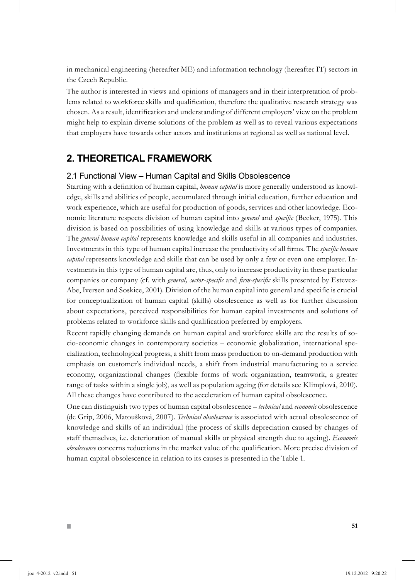in mechanical engineering (hereafter ME) and information technology (hereafter IT) sectors in the Czech Republic.

The author is interested in views and opinions of managers and in their interpretation of problems related to workforce skills and qualification, therefore the qualitative research strategy was chosen. As a result, identification and understanding of different employers' view on the problem might help to explain diverse solutions of the problem as well as to reveal various expectations that employers have towards other actors and institutions at regional as well as national level.

### **2. THEORETICAL FRAMEWORK**

### 2.1 Functional View – Human Capital and Skills Obsolescence

Starting with a definition of human capital, *human capital* is more generally understood as knowledge, skills and abilities of people, accumulated through initial education, further education and work experience, which are useful for production of goods, services and other knowledge. Economic literature respects division of human capital into *general* and *specific* (Becker, 1975). This division is based on possibilities of using knowledge and skills at various types of companies. The *general human capital* represents knowledge and skills useful in all companies and industries. Investments in this type of human capital increase the productivity of all firms. The *specific human capital* represents knowledge and skills that can be used by only a few or even one employer. Investments in this type of human capital are, thus, only to increase productivity in these particular companies or company (cf. with *general, sector-specific* and *firm-specific* skills presented by Estevez-Abe, Iversen and Soskice, 2001). Division of the human capital into general and specific is crucial for conceptualization of human capital (skills) obsolescence as well as for further discussion about expectations, perceived responsibilities for human capital investments and solutions of problems related to workforce skills and qualification preferred by employers.

Recent rapidly changing demands on human capital and workforce skills are the results of socio-economic changes in contemporary societies – economic globalization, international specialization, technological progress, a shift from mass production to on-demand production with emphasis on customer's individual needs, a shift from industrial manufacturing to a service economy, organizational changes (flexible forms of work organization, teamwork, a greater range of tasks within a single job), as well as population ageing (for details see Klimplová, 2010). All these changes have contributed to the acceleration of human capital obsolescence.

One can distinguish two types of human capital obsolescence – *technical* and *economic* obsolescence (de Grip, 2006, Matoušková, 2007). *Technical obsolescence* is associated with actual obsolescence of knowledge and skills of an individual (the process of skills depreciation caused by changes of staff themselves, i.e. deterioration of manual skills or physical strength due to ageing). *Economic obsolescence* concerns reductions in the market value of the qualification. More precise division of human capital obsolescence in relation to its causes is presented in the Table 1.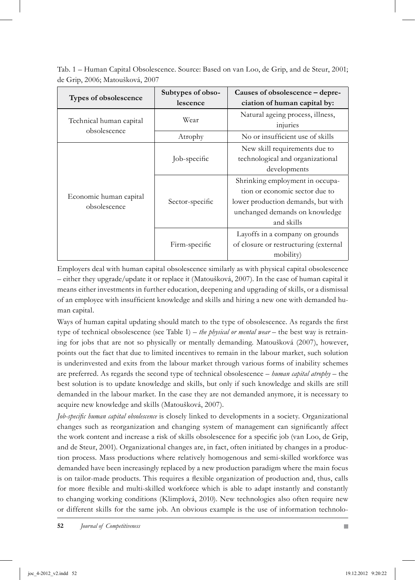|                                 | Tab. 1 – Human Capital Obsolescence. Source: Based on van Loo, de Grip, and de Steur, 2001; |  |  |  |  |  |
|---------------------------------|---------------------------------------------------------------------------------------------|--|--|--|--|--|
| de Grip, 2006; Matoušková, 2007 |                                                                                             |  |  |  |  |  |

| Types of obsolescence                   | Subtypes of obso-<br>lescence | Causes of obsolescence – depre-<br>ciation of human capital by:                                                                                         |  |  |  |  |
|-----------------------------------------|-------------------------------|---------------------------------------------------------------------------------------------------------------------------------------------------------|--|--|--|--|
| Technical human capital<br>obsolescence | Wear                          | Natural ageing process, illness,<br>injuries                                                                                                            |  |  |  |  |
|                                         | Atrophy                       | No or insufficient use of skills                                                                                                                        |  |  |  |  |
|                                         | Job-specific                  | New skill requirements due to<br>technological and organizational<br>developments                                                                       |  |  |  |  |
| Economic human capital<br>obsolescence  | Sector-specific               | Shrinking employment in occupa-<br>tion or economic sector due to<br>lower production demands, but with<br>unchanged demands on knowledge<br>and skills |  |  |  |  |
|                                         | Firm-specific                 | Layoffs in a company on grounds<br>of closure or restructuring (external<br>mobility)                                                                   |  |  |  |  |

Employers deal with human capital obsolescence similarly as with physical capital obsolescence – either they upgrade/update it or replace it (Matoušková, 2007). In the case of human capital it means either investments in further education, deepening and upgrading of skills, or a dismissal of an employee with insufficient knowledge and skills and hiring a new one with demanded human capital.

Ways of human capital updating should match to the type of obsolescence. As regards the first type of technical obsolescence (see Table 1) – *the physical or mental wear* – the best way is retraining for jobs that are not so physically or mentally demanding. Matoušková (2007), however, points out the fact that due to limited incentives to remain in the labour market, such solution is underinvested and exits from the labour market through various forms of inability schemes are preferred. As regards the second type of technical obsolescence – *human capital atrophy* – the best solution is to update knowledge and skills, but only if such knowledge and skills are still demanded in the labour market. In the case they are not demanded anymore, it is necessary to acquire new knowledge and skills (Matoušková, 2007).

*Job-specific human capital obsolescence* is closely linked to developments in a society. Organizational changes such as reorganization and changing system of management can significantly affect the work content and increase a risk of skills obsolescence for a specific job (van Loo, de Grip, and de Steur, 2001). Organizational changes are, in fact, often initiated by changes in a production process. Mass productions where relatively homogenous and semi-skilled workforce was demanded have been increasingly replaced by a new production paradigm where the main focus is on tailor-made products. This requires a flexible organization of production and, thus, calls for more flexible and multi-skilled workforce which is able to adapt instantly and constantly to changing working conditions (Klimplová, 2010). New technologies also often require new or different skills for the same job. An obvious example is the use of information technolo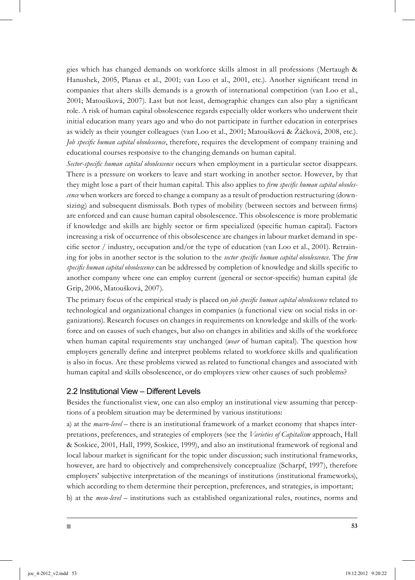gies which has changed demands on workforce skills almost in all professions (Mertaugh & Hanushek, 2005, Planas et al., 2001; van Loo et al., 2001, etc.). Another significant trend in companies that alters skills demands is a growth of international competition (van Loo et al., 2001; Matoušková, 2007). Last but not least, demographic changes can also play a significant role. A risk of human capital obsolescence regards especially older workers who underwent their initial education many years ago and who do not participate in further education in enterprises as widely as their younger colleagues (van Loo et al., 2001; Matoušková & Žáčková, 2008, etc.). *Job specific human capital obsolescence*, therefore, requires the development of company training and educational courses responsive to the changing demands on human capital.

*Sector-specific human capital obsolescence* occurs when employment in a particular sector disappears. There is a pressure on workers to leave and start working in another sector. However, by that they might lose a part of their human capital. This also applies to *firm specific human capital obsolescence* when workers are forced to change a company as a result of production restructuring (downsizing) and subsequent dismissals. Both types of mobility (between sectors and between firms) are enforced and can cause human capital obsolescence. This obsolescence is more problematic if knowledge and skills are highly sector or firm specialized (specific human capital). Factors increasing a risk of occurrence of this obsolescence are changes in labour market demand in specific sector / industry, occupation and/or the type of education (van Loo et al., 2001). Retraining for jobs in another sector is the solution to the *sector specific human capital obsolescence*. The *firm specific human capital obsolescence* can be addressed by completion of knowledge and skills specific to another company where one can employ current (general or sector-specific) human capital (de Grip, 2006, Matoušková, 2007).

The primary focus of the empirical study is placed on *job specific human capital obsolescence* related to technological and organizational changes in companies (a functional view on social risks in organizations). Research focuses on changes in requirements on knowledge and skills of the workforce and on causes of such changes, but also on changes in abilities and skills of the workforce when human capital requirements stay unchanged (*wear* of human capital). The question how employers generally define and interpret problems related to workforce skills and qualification is also in focus. Are these problems viewed as related to functional changes and associated with human capital and skills obsolescence, or do employers view other causes of such problems?

#### 2.2 Institutional View – Different Levels

Besides the functionalist view, one can also employ an institutional view assuming that perceptions of a problem situation may be determined by various institutions:

a) at the *macro-level* – there is an institutional framework of a market economy that shapes interpretations, preferences, and strategies of employers (see the *Varieties of Capitalism* approach, Hall & Soskice, 2001, Hall, 1999, Soskice, 1999), and also an institutional framework of regional and local labour market is significant for the topic under discussion; such institutional frameworks, however, are hard to objectively and comprehensively conceptualize (Scharpf, 1997), therefore employers' subjective interpretation of the meanings of institutions (institutional frameworks), which according to them determine their perception, preferences, and strategies, is important;

b) at the *meso-level* – institutions such as established organizational rules, routines, norms and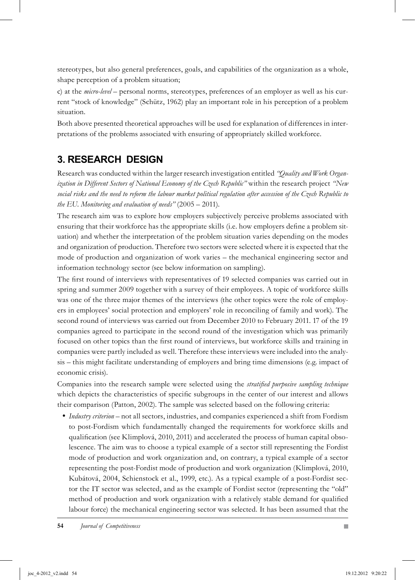stereotypes, but also general preferences, goals, and capabilities of the organization as a whole, shape perception of a problem situation;

c) at the *micro-level* – personal norms, stereotypes, preferences of an employer as well as his current "stock of knowledge" (Schütz, 1962) play an important role in his perception of a problem situation.

Both above presented theoretical approaches will be used for explanation of differences in interpretations of the problems associated with ensuring of appropriately skilled workforce.

# **3. RESEARCH DESIGN**

Research was conducted within the larger research investigation entitled *"Quality and Work Organization in Different Sectors of National Economy of the Czech Republic"* within the research project *"New social risks and the need to reform the labour market political regulation after accession of the Czech Republic to the EU. Monitoring and evaluation of needs"* (2005 – 2011).

The research aim was to explore how employers subjectively perceive problems associated with ensuring that their workforce has the appropriate skills (i.e. how employers define a problem situation) and whether the interpretation of the problem situation varies depending on the modes and organization of production. Therefore two sectors were selected where it is expected that the mode of production and organization of work varies – the mechanical engineering sector and information technology sector (see below information on sampling).

The first round of interviews with representatives of 19 selected companies was carried out in spring and summer 2009 together with a survey of their employees. A topic of workforce skills was one of the three major themes of the interviews (the other topics were the role of employers in employees' social protection and employers' role in reconciling of family and work). The second round of interviews was carried out from December 2010 to February 2011. 17 of the 19 companies agreed to participate in the second round of the investigation which was primarily focused on other topics than the first round of interviews, but workforce skills and training in companies were partly included as well. Therefore these interviews were included into the analysis – this might facilitate understanding of employers and bring time dimensions (e.g. impact of economic crisis).

Companies into the research sample were selected using the *stratified purposive sampling technique* which depicts the characteristics of specific subgroups in the center of our interest and allows their comparison (Patton, 2002). The sample was selected based on the following criteria:

*Industry criterion* – not all sectors, industries, and companies experienced a shift from Fordism to post-Fordism which fundamentally changed the requirements for workforce skills and qualification (see Klimplová, 2010, 2011) and accelerated the process of human capital obsolescence. The aim was to choose a typical example of a sector still representing the Fordist mode of production and work organization and, on contrary, a typical example of a sector representing the post-Fordist mode of production and work organization (Klimplová, 2010, Kubátová, 2004, Schienstock et al., 1999, etc.). As a typical example of a post-Fordist sector the IT sector was selected, and as the example of Fordist sector (representing the "old" method of production and work organization with a relatively stable demand for qualified labour force) the mechanical engineering sector was selected. It has been assumed that the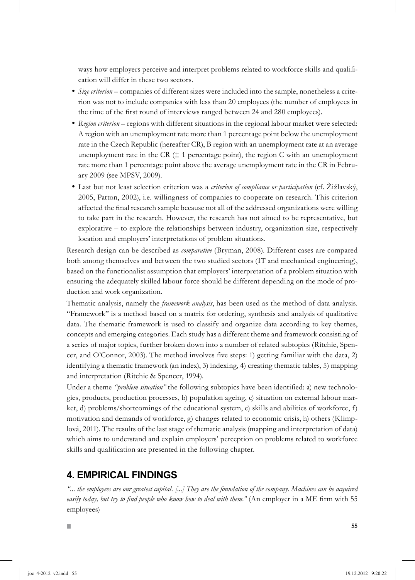ways how employers perceive and interpret problems related to workforce skills and qualification will differ in these two sectors.

- *Size criterion* companies of different sizes were included into the sample, nonetheless a crite rion was not to include companies with less than 20 employees (the number of employees in the time of the first round of interviews ranged between 24 and 280 employees).
- *Region criterion* regions with different situations in the regional labour market were selected: A region with an unemployment rate more than 1 percentage point below the unemployment rate in the Czech Republic (hereafter CR), B region with an unemployment rate at an average unemployment rate in the CR  $(\pm 1)$  percentage point), the region C with an unemployment rate more than 1 percentage point above the average unemployment rate in the CR in February 2009 (see MPSV, 2009).
- Last but not least selection criterion was a *criterion of compliance or participation* (cf. Žižlavský, 2005, Patton, 2002), i.e. willingness of companies to cooperate on research. This criterion affected the final research sample because not all of the addressed organizations were willing to take part in the research. However, the research has not aimed to be representative, but explorative – to explore the relationships between industry, organization size, respectively location and employers' interpretations of problem situations.

Research design can be described as *comparative* (Bryman, 2008). Different cases are compared both among themselves and between the two studied sectors (IT and mechanical engineering), based on the functionalist assumption that employers' interpretation of a problem situation with ensuring the adequately skilled labour force should be different depending on the mode of production and work organization.

Thematic analysis, namely the *framework analysis*, has been used as the method of data analysis. "Framework" is a method based on a matrix for ordering, synthesis and analysis of qualitative data. The thematic framework is used to classify and organize data according to key themes, concepts and emerging categories. Each study has a different theme and framework consisting of a series of major topics, further broken down into a number of related subtopics (Ritchie, Spencer, and O'Connor, 2003). The method involves five steps: 1) getting familiar with the data, 2) identifying a thematic framework (an index), 3) indexing, 4) creating thematic tables, 5) mapping and interpretation (Ritchie & Spencer, 1994).

Under a theme *"problem situation"* the following subtopics have been identified: a) new technologies, products, production processes, b) population ageing, c) situation on external labour market, d) problems/shortcomings of the educational system, e) skills and abilities of workforce, f) motivation and demands of workforce,  $g$ ) changes related to economic crisis, h) others (Klimplová, 2011). The results of the last stage of thematic analysis (mapping and interpretation of data) which aims to understand and explain employers' perception on problems related to workforce skills and qualification are presented in the following chapter.

### **4. EMPIRICAL FINDINGS**

*"... the employees are our greatest capital. [...] They are the foundation of the company. Machines can be acquired easily today, but try to find people who know how to deal with them."* (An employer in a ME firm with 55 employees)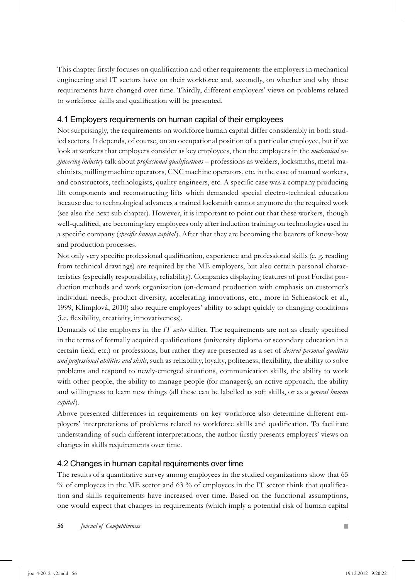This chapter firstly focuses on qualification and other requirements the employers in mechanical engineering and IT sectors have on their workforce and, secondly, on whether and why these requirements have changed over time. Thirdly, different employers' views on problems related to workforce skills and qualification will be presented.

### 4.1 Employers requirements on human capital of their employees

Not surprisingly, the requirements on workforce human capital differ considerably in both studied sectors. It depends, of course, on an occupational position of a particular employee, but if we look at workers that employers consider as key employees, then the employers in the *mechanical engineering industry* talk about *professional qualifications* – professions as welders, locksmiths, metal machinists, milling machine operators, CNC machine operators, etc. in the case of manual workers, and constructors, technologists, quality engineers, etc. A specific case was a company producing lift components and reconstructing lifts which demanded special electro-technical education because due to technological advances a trained locksmith cannot anymore do the required work (see also the next sub chapter). However, it is important to point out that these workers, though well-qualified, are becoming key employees only after induction training on technologies used in a specific company (*specific human capital*). After that they are becoming the bearers of know-how and production processes.

Not only very specific professional qualification, experience and professional skills (e. g. reading from technical drawings) are required by the ME employers, but also certain personal characteristics (especially responsibility, reliability). Companies displaying features of post Fordist production methods and work organization (on-demand production with emphasis on customer's individual needs, product diversity, accelerating innovations, etc., more in Schienstock et al., 1999, Klimplová, 2010) also require employees' ability to adapt quickly to changing conditions (i.e. flexibility, creativity, innovativeness).

Demands of the employers in the *IT sector* differ. The requirements are not as clearly specified in the terms of formally acquired qualifications (university diploma or secondary education in a certain field, etc.) or professions, but rather they are presented as a set of *desired personal qualities and professional abilities and skills*, such as reliability, loyalty, politeness, flexibility, the ability to solve problems and respond to newly-emerged situations, communication skills, the ability to work with other people, the ability to manage people (for managers), an active approach, the ability and willingness to learn new things (all these can be labelled as soft skills, or as a *general human capital*).

Above presented differences in requirements on key workforce also determine different employers' interpretations of problems related to workforce skills and qualification. To facilitate understanding of such different interpretations, the author firstly presents employers' views on changes in skills requirements over time.

### 4.2 Changes in human capital requirements over time

The results of a quantitative survey among employees in the studied organizations show that 65 % of employees in the ME sector and 63 % of employees in the IT sector think that qualification and skills requirements have increased over time. Based on the functional assumptions, one would expect that changes in requirements (which imply a potential risk of human capital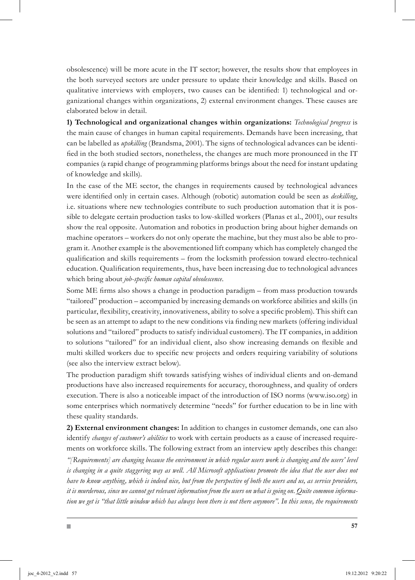obsolescence) will be more acute in the IT sector; however, the results show that employees in the both surveyed sectors are under pressure to update their knowledge and skills. Based on qualitative interviews with employers, two causes can be identified: 1) technological and organizational changes within organizations, 2) external environment changes. These causes are elaborated below in detail.

**1) Technological and organizational changes within organizations:** *Technological progress* is the main cause of changes in human capital requirements. Demands have been increasing, that can be labelled as *upskilling* (Brandsma, 2001). The signs of technological advances can be identified in the both studied sectors, nonetheless, the changes are much more pronounced in the IT companies (a rapid change of programming platforms brings about the need for instant updating of knowledge and skills).

In the case of the ME sector, the changes in requirements caused by technological advances were identified only in certain cases. Although (robotic) automation could be seen as *deskilling*, i.e. situations where new technologies contribute to such production automation that it is possible to delegate certain production tasks to low-skilled workers (Planas et al., 2001), our results show the real opposite. Automation and robotics in production bring about higher demands on machine operators – workers do not only operate the machine, but they must also be able to program it. Another example is the abovementioned lift company which has completely changed the qualification and skills requirements – from the locksmith profession toward electro-technical education. Qualification requirements, thus, have been increasing due to technological advances which bring about *job-specific human capital obsolescence*.

Some ME firms also shows a change in production paradigm – from mass production towards "tailored" production – accompanied by increasing demands on workforce abilities and skills (in particular, flexibility, creativity, innovativeness, ability to solve a specific problem). This shift can be seen as an attempt to adapt to the new conditions via finding new markets (offering individual solutions and "tailored" products to satisfy individual customers). The IT companies, in addition to solutions "tailored" for an individual client, also show increasing demands on flexible and multi skilled workers due to specific new projects and orders requiring variability of solutions (see also the interview extract below).

The production paradigm shift towards satisfying wishes of individual clients and on-demand productions have also increased requirements for accuracy, thoroughness, and quality of orders execution. There is also a noticeable impact of the introduction of ISO norms (www.iso.org) in some enterprises which normatively determine "needs" for further education to be in line with these quality standards.

**2) External environment changes:** In addition to changes in customer demands, one can also identify *changes of customer's abilities* to work with certain products as a cause of increased requirements on workforce skills. The following extract from an interview aptly describes this change:

*"[Requirements] are changing because the environment in which regular users work is changing and the users' level is changing in a quite staggering way as well. All Microsoft applications promote the idea that the user does not have to know anything, which is indeed nice, but from the perspective of both the users and us, as service providers, it is murderous, since we cannot get relevant information from the users on what is going on. Quite common information we get is "that little window which has always been there is not there anymore". In this sense, the requirements*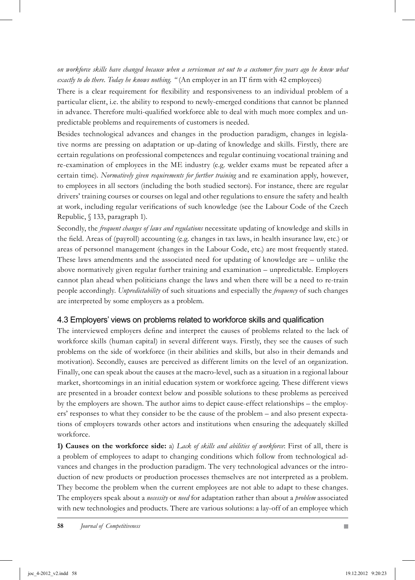*on workforce skills have changed because when a serviceman set out to a customer five years ago he knew what exactly to do there. Today he knows nothing. "* (An employer in an IT firm with 42 employees)

There is a clear requirement for flexibility and responsiveness to an individual problem of a particular client, i.e. the ability to respond to newly-emerged conditions that cannot be planned in advance. Therefore multi-qualified workforce able to deal with much more complex and unpredictable problems and requirements of customers is needed.

Besides technological advances and changes in the production paradigm, changes in legislative norms are pressing on adaptation or up-dating of knowledge and skills. Firstly, there are certain regulations on professional competences and regular continuing vocational training and re-examination of employees in the ME industry (e.g. welder exams must be repeated after a certain time). *Normatively given requirements for further training* and re examination apply, however, to employees in all sectors (including the both studied sectors). For instance, there are regular drivers' training courses or courses on legal and other regulations to ensure the safety and health at work, including regular verifications of such knowledge (see the Labour Code of the Czech Republic, § 133, paragraph 1).

Secondly, the *frequent changes of laws and regulations* necessitate updating of knowledge and skills in the field. Areas of (payroll) accounting (e.g. changes in tax laws, in health insurance law, etc.) or areas of personnel management (changes in the Labour Code, etc.) are most frequently stated. These laws amendments and the associated need for updating of knowledge are – unlike the above normatively given regular further training and examination – unpredictable. Employers cannot plan ahead when politicians change the laws and when there will be a need to re-train people accordingly. *Unpredictability* of such situations and especially the *frequency* of such changes are interpreted by some employers as a problem.

### 4.3 Employers' views on problems related to workforce skills and qualification

The interviewed employers define and interpret the causes of problems related to the lack of workforce skills (human capital) in several different ways. Firstly, they see the causes of such problems on the side of workforce (in their abilities and skills, but also in their demands and motivation). Secondly, causes are perceived as different limits on the level of an organization. Finally, one can speak about the causes at the macro-level, such as a situation in a regional labour market, shortcomings in an initial education system or workforce ageing. These different views are presented in a broader context below and possible solutions to these problems as perceived by the employers are shown. The author aims to depict cause-effect relationships – the employers' responses to what they consider to be the cause of the problem – and also present expectations of employers towards other actors and institutions when ensuring the adequately skilled workforce.

**1) Causes on the workforce side:** a) *Lack of skills and abilities of workforce*: First of all, there is a problem of employees to adapt to changing conditions which follow from technological advances and changes in the production paradigm. The very technological advances or the introduction of new products or production processes themselves are not interpreted as a problem. They become the problem when the current employees are not able to adapt to these changes. The employers speak about a *necessity* or *need* for adaptation rather than about a *problem* associated with new technologies and products. There are various solutions: a lay-off of an employee which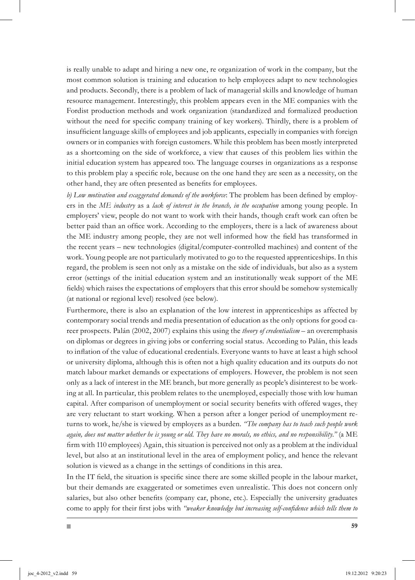is really unable to adapt and hiring a new one, re organization of work in the company, but the most common solution is training and education to help employees adapt to new technologies and products. Secondly, there is a problem of lack of managerial skills and knowledge of human resource management. Interestingly, this problem appears even in the ME companies with the Fordist production methods and work organization (standardized and formalized production without the need for specific company training of key workers). Thirdly, there is a problem of insufficient language skills of employees and job applicants, especially in companies with foreign owners or in companies with foreign customers. While this problem has been mostly interpreted as a shortcoming on the side of workforce, a view that causes of this problem lies within the initial education system has appeared too. The language courses in organizations as a response to this problem play a specific role, because on the one hand they are seen as a necessity, on the other hand, they are often presented as benefits for employees.

*b) Low motivation and exaggerated demands of the workforce*: The problem has been defined by employers in the *ME industry* as a *lack of interest in the branch, in the occupation* among young people. In employers' view, people do not want to work with their hands, though craft work can often be better paid than an office work. According to the employers, there is a lack of awareness about the ME industry among people, they are not well informed how the field has transformed in the recent years – new technologies (digital/computer-controlled machines) and content of the work. Young people are not particularly motivated to go to the requested apprenticeships. In this regard, the problem is seen not only as a mistake on the side of individuals, but also as a system error (settings of the initial education system and an institutionally weak support of the ME fields) which raises the expectations of employers that this error should be somehow systemically (at national or regional level) resolved (see below).

Furthermore, there is also an explanation of the low interest in apprenticeships as affected by contemporary social trends and media presentation of education as the only options for good career prospects. Palán (2002, 2007) explains this using the *theory of credentialism* – an overemphasis on diplomas or degrees in giving jobs or conferring social status. According to Palán, this leads to inflation of the value of educational credentials. Everyone wants to have at least a high school or university diploma, although this is often not a high quality education and its outputs do not match labour market demands or expectations of employers. However, the problem is not seen only as a lack of interest in the ME branch, but more generally as people's disinterest to be working at all. In particular, this problem relates to the unemployed, especially those with low human capital. After comparison of unemployment or social security benefits with offered wages, they are very reluctant to start working. When a person after a longer period of unemployment returns to work, he/she is viewed by employers as a burden. *"The company has to teach such people work again, does not matter whether he is young or old. They have no morals, no ethics, and no responsibility."* (a ME firm with 110 employees) Again, this situation is perceived not only as a problem at the individual level, but also at an institutional level in the area of employment policy, and hence the relevant solution is viewed as a change in the settings of conditions in this area.

In the IT field, the situation is specific since there are some skilled people in the labour market, but their demands are exaggerated or sometimes even unrealistic. This does not concern only salaries, but also other benefits (company car, phone, etc.). Especially the university graduates come to apply for their first jobs with *"weaker knowledge but increasing self-confidence which tells them to*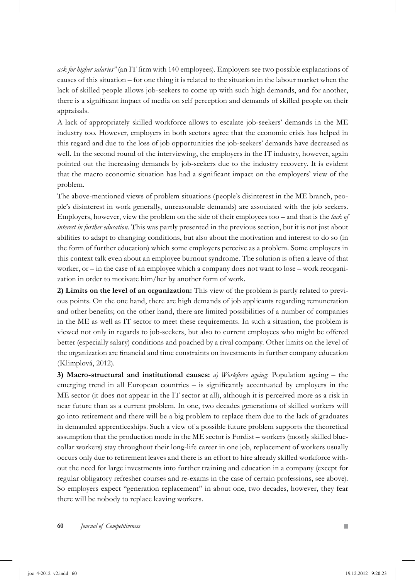*ask for higher salaries"* (an IT firm with 140 employees). Employers see two possible explanations of causes of this situation – for one thing it is related to the situation in the labour market when the lack of skilled people allows job-seekers to come up with such high demands, and for another, there is a significant impact of media on self perception and demands of skilled people on their appraisals.

A lack of appropriately skilled workforce allows to escalate job-seekers' demands in the ME industry too. However, employers in both sectors agree that the economic crisis has helped in this regard and due to the loss of job opportunities the job-seekers' demands have decreased as well. In the second round of the interviewing, the employers in the IT industry, however, again pointed out the increasing demands by job-seekers due to the industry recovery. It is evident that the macro economic situation has had a significant impact on the employers' view of the problem.

The above-mentioned views of problem situations (people's disinterest in the ME branch, people's disinterest in work generally, unreasonable demands) are associated with the job seekers. Employers, however, view the problem on the side of their employees too – and that is the *lack of interest in further education*. This was partly presented in the previous section, but it is not just about abilities to adapt to changing conditions, but also about the motivation and interest to do so (in the form of further education) which some employers perceive as a problem. Some employers in this context talk even about an employee burnout syndrome. The solution is often a leave of that worker, or  $-$  in the case of an employee which a company does not want to lose  $-$  work reorganization in order to motivate him/her by another form of work.

**2) Limits on the level of an organization:** This view of the problem is partly related to previous points. On the one hand, there are high demands of job applicants regarding remuneration and other benefits; on the other hand, there are limited possibilities of a number of companies in the ME as well as IT sector to meet these requirements. In such a situation, the problem is viewed not only in regards to job-seekers, but also to current employees who might be offered better (especially salary) conditions and poached by a rival company. Other limits on the level of the organization are financial and time constraints on investments in further company education (Klimplová, 2012).

**3) Macro-structural and institutional causes:** *a) Workforce ageing*: Population ageing – the emerging trend in all European countries – is significantly accentuated by employers in the ME sector (it does not appear in the IT sector at all), although it is perceived more as a risk in near future than as a current problem. In one, two decades generations of skilled workers will go into retirement and there will be a big problem to replace them due to the lack of graduates in demanded apprenticeships. Such a view of a possible future problem supports the theoretical assumption that the production mode in the ME sector is Fordist – workers (mostly skilled bluecollar workers) stay throughout their long-life career in one job, replacement of workers usually occurs only due to retirement leaves and there is an effort to hire already skilled workforce without the need for large investments into further training and education in a company (except for regular obligatory refresher courses and re-exams in the case of certain professions, see above). So employers expect "generation replacement" in about one, two decades, however, they fear there will be nobody to replace leaving workers.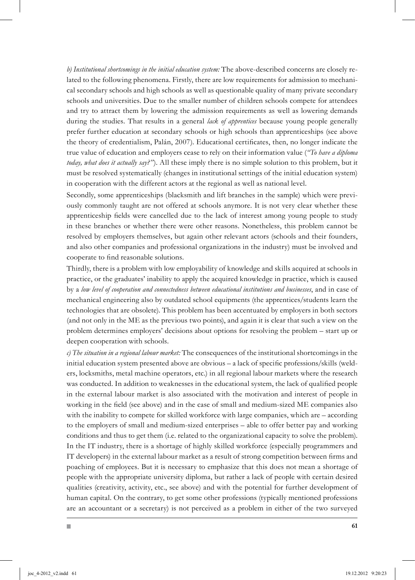*b) Institutional shortcomings in the initial education system:* The above-described concerns are closely related to the following phenomena. Firstly, there are low requirements for admission to mechanical secondary schools and high schools as well as questionable quality of many private secondary schools and universities. Due to the smaller number of children schools compete for attendees and try to attract them by lowering the admission requirements as well as lowering demands during the studies. That results in a general *lack of apprentices* because young people generally prefer further education at secondary schools or high schools than apprenticeships (see above the theory of credentialism, Palán, 2007). Educational certificates, then, no longer indicate the true value of education and employers cease to rely on their information value (*"To have a diploma today, what does it actually say?"*). All these imply there is no simple solution to this problem, but it must be resolved systematically (changes in institutional settings of the initial education system) in cooperation with the different actors at the regional as well as national level.

Secondly, some apprenticeships (blacksmith and lift branches in the sample) which were previously commonly taught are not offered at schools anymore. It is not very clear whether these apprenticeship fields were cancelled due to the lack of interest among young people to study in these branches or whether there were other reasons. Nonetheless, this problem cannot be resolved by employers themselves, but again other relevant actors (schools and their founders, and also other companies and professional organizations in the industry) must be involved and cooperate to find reasonable solutions.

Thirdly, there is a problem with low employability of knowledge and skills acquired at schools in practice, or the graduates' inability to apply the acquired knowledge in practice, which is caused by a *low level of cooperation and connectedness between educational institutions and businesses*, and in case of mechanical engineering also by outdated school equipments (the apprentices/students learn the technologies that are obsolete). This problem has been accentuated by employers in both sectors (and not only in the ME as the previous two points), and again it is clear that such a view on the problem determines employers' decisions about options for resolving the problem – start up or deepen cooperation with schools.

*c) The situation in a regional labour market:* The consequences of the institutional shortcomings in the initial education system presented above are obvious – a lack of specific professions/skills (welders, locksmiths, metal machine operators, etc.) in all regional labour markets where the research was conducted. In addition to weaknesses in the educational system, the lack of qualified people in the external labour market is also associated with the motivation and interest of people in working in the field (see above) and in the case of small and medium-sized ME companies also with the inability to compete for skilled workforce with large companies, which are – according to the employers of small and medium-sized enterprises – able to offer better pay and working conditions and thus to get them (i.e. related to the organizational capacity to solve the problem). In the IT industry, there is a shortage of highly skilled workforce (especially programmers and IT developers) in the external labour market as a result of strong competition between firms and poaching of employees. But it is necessary to emphasize that this does not mean a shortage of people with the appropriate university diploma, but rather a lack of people with certain desired qualities (creativity, activity, etc., see above) and with the potential for further development of human capital. On the contrary, to get some other professions (typically mentioned professions are an accountant or a secretary) is not perceived as a problem in either of the two surveyed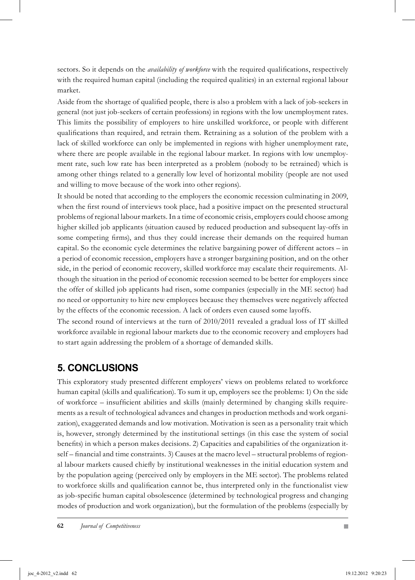sectors. So it depends on the *availability of workforce* with the required qualifications, respectively with the required human capital (including the required qualities) in an external regional labour market.

Aside from the shortage of qualified people, there is also a problem with a lack of job-seekers in general (not just job-seekers of certain professions) in regions with the low unemployment rates. This limits the possibility of employers to hire unskilled workforce, or people with different qualifications than required, and retrain them. Retraining as a solution of the problem with a lack of skilled workforce can only be implemented in regions with higher unemployment rate, where there are people available in the regional labour market. In regions with low unemployment rate, such low rate has been interpreted as a problem (nobody to be retrained) which is among other things related to a generally low level of horizontal mobility (people are not used and willing to move because of the work into other regions).

It should be noted that according to the employers the economic recession culminating in 2009, when the first round of interviews took place, had a positive impact on the presented structural problems of regional labour markets. In a time of economic crisis, employers could choose among higher skilled job applicants (situation caused by reduced production and subsequent lay-offs in some competing firms), and thus they could increase their demands on the required human capital. So the economic cycle determines the relative bargaining power of different actors – in a period of economic recession, employers have a stronger bargaining position, and on the other side, in the period of economic recovery, skilled workforce may escalate their requirements. Although the situation in the period of economic recession seemed to be better for employers since the offer of skilled job applicants had risen, some companies (especially in the ME sector) had no need or opportunity to hire new employees because they themselves were negatively affected by the effects of the economic recession. A lack of orders even caused some layoffs.

The second round of interviews at the turn of 2010/2011 revealed a gradual loss of IT skilled workforce available in regional labour markets due to the economic recovery and employers had to start again addressing the problem of a shortage of demanded skills.

## **5. CONCLUSIONS**

This exploratory study presented different employers' views on problems related to workforce human capital (skills and qualification). To sum it up, employers see the problems: 1) On the side of workforce – insufficient abilities and skills (mainly determined by changing skills requirements as a result of technological advances and changes in production methods and work organization), exaggerated demands and low motivation. Motivation is seen as a personality trait which is, however, strongly determined by the institutional settings (in this case the system of social benefits) in which a person makes decisions. 2) Capacities and capabilities of the organization itself – financial and time constraints. 3) Causes at the macro level – structural problems of regional labour markets caused chiefly by institutional weaknesses in the initial education system and by the population ageing (perceived only by employers in the ME sector). The problems related to workforce skills and qualification cannot be, thus interpreted only in the functionalist view as job-specific human capital obsolescence (determined by technological progress and changing modes of production and work organization), but the formulation of the problems (especially by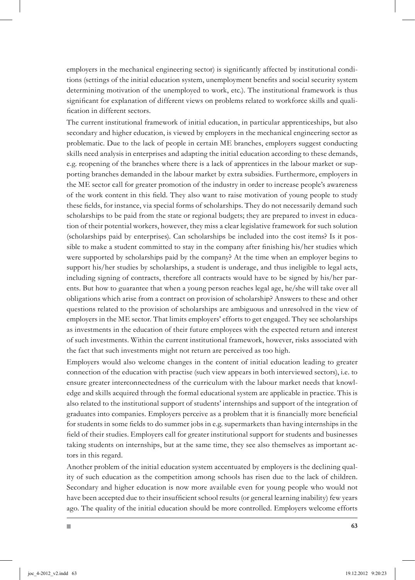employers in the mechanical engineering sector) is significantly affected by institutional conditions (settings of the initial education system, unemployment benefits and social security system determining motivation of the unemployed to work, etc.). The institutional framework is thus significant for explanation of different views on problems related to workforce skills and qualification in different sectors.

The current institutional framework of initial education, in particular apprenticeships, but also secondary and higher education, is viewed by employers in the mechanical engineering sector as problematic. Due to the lack of people in certain ME branches, employers suggest conducting skills need analysis in enterprises and adapting the initial education according to these demands, e.g. reopening of the branches where there is a lack of apprentices in the labour market or supporting branches demanded in the labour market by extra subsidies. Furthermore, employers in the ME sector call for greater promotion of the industry in order to increase people's awareness of the work content in this field. They also want to raise motivation of young people to study these fields, for instance, via special forms of scholarships. They do not necessarily demand such scholarships to be paid from the state or regional budgets; they are prepared to invest in education of their potential workers, however, they miss a clear legislative framework for such solution (scholarships paid by enterprises). Can scholarships be included into the cost items? Is it possible to make a student committed to stay in the company after finishing his/her studies which were supported by scholarships paid by the company? At the time when an employer begins to support his/her studies by scholarships, a student is underage, and thus ineligible to legal acts, including signing of contracts, therefore all contracts would have to be signed by his/her parents. But how to guarantee that when a young person reaches legal age, he/she will take over all obligations which arise from a contract on provision of scholarship? Answers to these and other questions related to the provision of scholarships are ambiguous and unresolved in the view of employers in the ME sector. That limits employers' efforts to get engaged. They see scholarships as investments in the education of their future employees with the expected return and interest of such investments. Within the current institutional framework, however, risks associated with the fact that such investments might not return are perceived as too high.

Employers would also welcome changes in the content of initial education leading to greater connection of the education with practise (such view appears in both interviewed sectors), i.e. to ensure greater interconnectedness of the curriculum with the labour market needs that knowledge and skills acquired through the formal educational system are applicable in practice. This is also related to the institutional support of students' internships and support of the integration of graduates into companies. Employers perceive as a problem that it is financially more beneficial for students in some fields to do summer jobs in e.g. supermarkets than having internships in the field of their studies. Employers call for greater institutional support for students and businesses taking students on internships, but at the same time, they see also themselves as important actors in this regard.

Another problem of the initial education system accentuated by employers is the declining quality of such education as the competition among schools has risen due to the lack of children. Secondary and higher education is now more available even for young people who would not have been accepted due to their insufficient school results (or general learning inability) few years ago. The quality of the initial education should be more controlled. Employers welcome efforts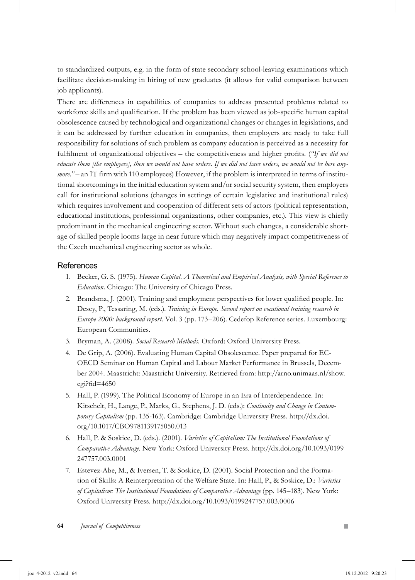to standardized outputs, e.g. in the form of state secondary school-leaving examinations which facilitate decision-making in hiring of new graduates (it allows for valid comparison between job applicants).

There are differences in capabilities of companies to address presented problems related to workforce skills and qualification. If the problem has been viewed as job-specific human capital obsolescence caused by technological and organizational changes or changes in legislations, and it can be addressed by further education in companies, then employers are ready to take full responsibility for solutions of such problem as company education is perceived as a necessity for fulfilment of organizational objectives – the competitiveness and higher profits. (*"If we did not educate them [the employees], then we would not have orders. If we did not have orders, we would not be here anymore."* – an IT firm with 110 employees) However, if the problem is interpreted in terms of institutional shortcomings in the initial education system and/or social security system, then employers call for institutional solutions (changes in settings of certain legislative and institutional rules) which requires involvement and cooperation of different sets of actors (political representation, educational institutions, professional organizations, other companies, etc.). This view is chiefly predominant in the mechanical engineering sector. Without such changes, a considerable shortage of skilled people looms large in near future which may negatively impact competitiveness of the Czech mechanical engineering sector as whole.

#### **References**

- Becker, G. S. (1975). *Human Capital. A Theoretical and Empirical Analysis, with Special Reference to*  1. *Education.* Chicago: The University of Chicago Press.
- 2. Brandsma, J. (2001). Training and employment perspectives for lower qualified people. In: Descy, P., Tessaring, M. (eds.). *Training in Europe. Second report on vocational training research in Europe 2000: background report.* Vol. 3 (pp. 173–206). Cedefop Reference series. Luxembourg: European Communities.
- 3. Bryman, A. (2008). Social Research Methods. Oxford: Oxford University Press.
- De Grip, A. (2006). Evaluating Human Capital Obsolescence. Paper prepared for EC-4. OECD Seminar on Human Capital and Labour Market Performance in Brussels, December 2004. Maastricht: Maastricht University. Retrieved from: http://arno.unimaas.nl/show. cgi?fid=4650
- 5. Hall, P. (1999). The Political Economy of Europe in an Era of Interdependence. In: Kitschelt, H., Lange, P., Marks, G., Stephens, J. D. (eds.): *Continuity and Change in Contemporary Capitalism* (pp. 135-163). Cambridge: Cambridge University Press. http://dx.doi. org/10.1017/CBO9781139175050.013
- Hall, P. & Soskice, D. (eds.). (2001). *Varieties of Capitalism: The Institutional Foundations of*  6. *Comparative Advantage*. New York: Oxford University Press. http://dx.doi.org/10.1093/0199 247757.003.0001
- Estevez-Abe, M., & Iversen, T. & Soskice, D. (2001). Social Protection and the Forma-7. tion of Skills: A Reinterpretation of the Welfare State. In: Hall, P., & Soskice, D.: *Varieties of Capitalism: The Institutional Foundations of Comparative Advantage* (pp. 145–183). New York: Oxford University Press. http://dx.doi.org/10.1093/0199247757.003.0006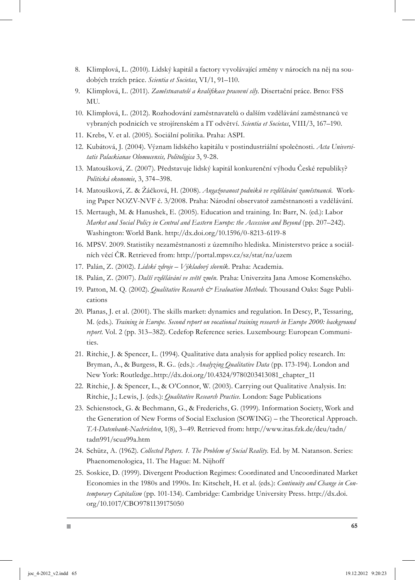- 8. Klimplová, L. (2010). Lidský kapitál a factory vyvolávající změny v nárocích na něj na soudobých trzích práce. *Scientia et Societas*, VI/1, 91–110.
- Klimplová, L. (2011). *Zaměstnavatelé a kvalifikace pracovní síly.* Disertační práce. Brno: FSS 9. MU.
- 10. Klimplová, L. (2012). Rozhodování zaměstnavatelů o dalším vzdělávání zaměstnanců ve vybraných podnicích ve strojírenském a IT odvětví. *Scientia et Societas*, VIII/3, 167–190.
- 11. Krebs, V. et al. (2005). Sociální politika. Praha: ASPI.
- Kubátová, J. (2004). Význam lidského kapitálu v postindustriální společnosti. *Acta Universi-*12. *tatis Palackianae Olomucensis, Politoligica* 3, 9-28.
- 13. Matoušková, Z. (2007). Představuje lidský kapitál konkurenční výhodu České republiky? *Politická ekonomie*, 3, 374–398.
- 14. Matoušková, Z. & Záčková, H. (2008). *Angažovanost podniků ve vzdělávání zaměstnanců*. Working Paper NOZV-NVF č. 3/2008. Praha: Národní observatoř zaměstnanosti a vzdělávání.
- 15. Mertaugh, M. & Hanushek, E. (2005). Education and training. In: Barr, N. (ed.): Labor *Market and Social Policy in Central and Eastern Europe: the Accession and Beyond* (pp. 207–242). Washington: World Bank. http://dx.doi.org/10.1596/0-8213-6119-8
- 16. MPSV. 2009. Statistiky nezaměstnanosti z územního hlediska. Ministerstvo práce a sociálních věcí ČR. Retrieved from: http://portal.mpsv.cz/sz/stat/nz/uzem
- 17. Palán, Z. (2002). L*idské zdroje Výkladový slovník*. Praha: Academia.
- 18. Palán, Z. (2007). *Další vzdělávání ve světě změn*. Praha: Univerzita Jana Amose Komenského.
- 19. Patton, M. Q. (2002). *Qualitative Research & Evaluation Methods*. Thousand Oaks: Sage Publications
- 20. Planas, J. et al. (2001). The skills market: dynamics and regulation. In Descy, P., Tessaring, M. (eds.). *Training in Europe. Second report on vocational training research in Europe 2000: background report.* Vol. 2 (pp. 313–382). Cedefop Reference series. Luxembourg: European Communities.
- 21. Ritchie, J. & Spencer, L. (1994). Qualitative data analysis for applied policy research. In: Bryman, A., & Burgess, R. G.. (eds.): *Analyzing Qualitative Data* (pp. 173-194). London and New York: Routledge..http://dx.doi.org/10.4324/9780203413081\_chapter\_11
- 22. Ritchie, J. & Spencer, L., & O'Connor, W. (2003). Carrying out Qualitative Analysis. In: Ritchie, J.; Lewis, J. (eds.): *Qualitative Research Practice.* London: Sage Publications
- 23. Schienstock, G. & Bechmann, G., & Frederichs, G. (1999). Information Society, Work and the Generation of New Forms of Social Exclusion (SOWING) – the Theoretical Approach. *TA-Datenbank-Nachrichten*, 1(8), 3–49. Retrieved from: http://www.itas.fzk.de/deu/tadn/ tadn991/scua99a.htm
- 24. Schütz, A. (1962). *Collected Papers. 1. The Problem of Social Reality*. Ed. by M. Natanson. Series: Phaenomenologica, 11. The Hague: M. Nijhoff
- 25. Soskice, D. (1999). Divergent Production Regimes: Coordinated and Uncoordinated Market Economies in the 1980s and 1990s. In: Kitschelt, H. et al. (eds.): *Continuity and Change in Contemporary Capitalism* (pp. 101-134). Cambridge: Cambridge University Press. http://dx.doi. org/10.1017/CBO9781139175050